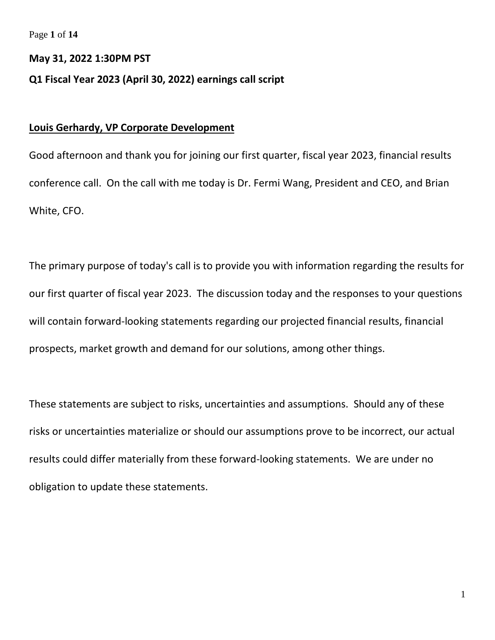Page **1** of **14**

#### **May 31, 2022 1:30PM PST**

### **Q1 Fiscal Year 2023 (April 30, 2022) earnings call script**

## **Louis Gerhardy, VP Corporate Development**

Good afternoon and thank you for joining our first quarter, fiscal year 2023, financial results conference call. On the call with me today is Dr. Fermi Wang, President and CEO, and Brian White, CFO.

The primary purpose of today's call is to provide you with information regarding the results for our first quarter of fiscal year 2023. The discussion today and the responses to your questions will contain forward-looking statements regarding our projected financial results, financial prospects, market growth and demand for our solutions, among other things.

These statements are subject to risks, uncertainties and assumptions. Should any of these risks or uncertainties materialize or should our assumptions prove to be incorrect, our actual results could differ materially from these forward-looking statements. We are under no obligation to update these statements.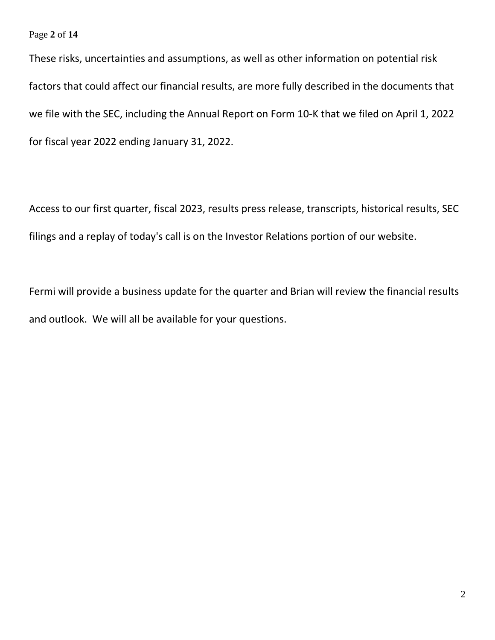### Page **2** of **14**

These risks, uncertainties and assumptions, as well as other information on potential risk factors that could affect our financial results, are more fully described in the documents that we file with the SEC, including the Annual Report on Form 10-K that we filed on April 1, 2022 for fiscal year 2022 ending January 31, 2022.

Access to our first quarter, fiscal 2023, results press release, transcripts, historical results, SEC filings and a replay of today's call is on the Investor Relations portion of our website.

Fermi will provide a business update for the quarter and Brian will review the financial results and outlook. We will all be available for your questions.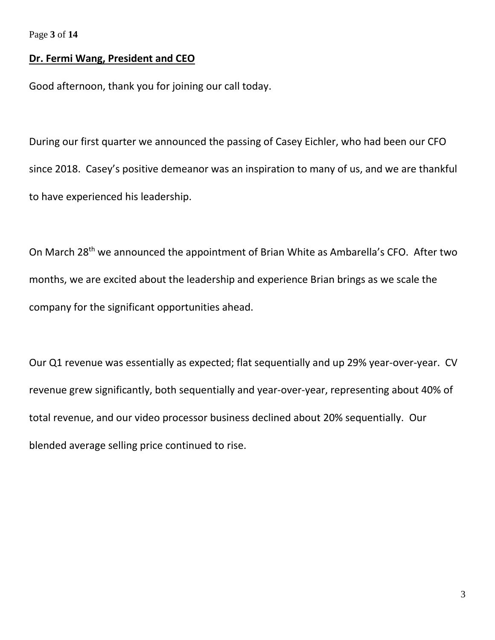Page **3** of **14**

## **Dr. Fermi Wang, President and CEO**

Good afternoon, thank you for joining our call today.

During our first quarter we announced the passing of Casey Eichler, who had been our CFO since 2018. Casey's positive demeanor was an inspiration to many of us, and we are thankful to have experienced his leadership.

On March 28<sup>th</sup> we announced the appointment of Brian White as Ambarella's CFO. After two months, we are excited about the leadership and experience Brian brings as we scale the company for the significant opportunities ahead.

Our Q1 revenue was essentially as expected; flat sequentially and up 29% year-over-year. CV revenue grew significantly, both sequentially and year-over-year, representing about 40% of total revenue, and our video processor business declined about 20% sequentially. Our blended average selling price continued to rise.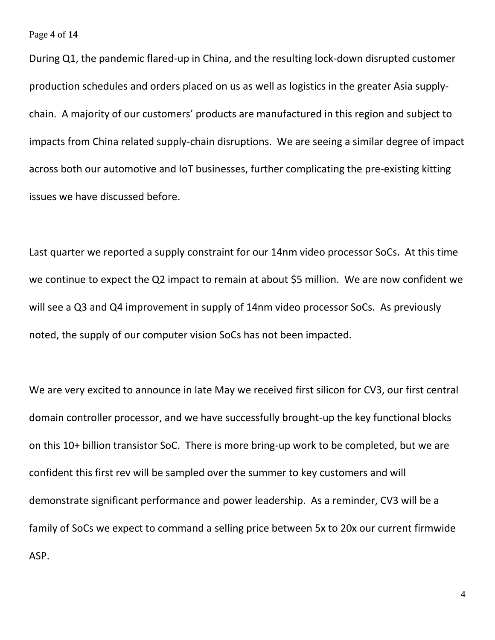Page **4** of **14**

During Q1, the pandemic flared-up in China, and the resulting lock-down disrupted customer production schedules and orders placed on us as well as logistics in the greater Asia supplychain. A majority of our customers' products are manufactured in this region and subject to impacts from China related supply-chain disruptions. We are seeing a similar degree of impact across both our automotive and IoT businesses, further complicating the pre-existing kitting issues we have discussed before.

Last quarter we reported a supply constraint for our 14nm video processor SoCs. At this time we continue to expect the Q2 impact to remain at about \$5 million. We are now confident we will see a Q3 and Q4 improvement in supply of 14nm video processor SoCs. As previously noted, the supply of our computer vision SoCs has not been impacted.

We are very excited to announce in late May we received first silicon for CV3, our first central domain controller processor, and we have successfully brought-up the key functional blocks on this 10+ billion transistor SoC. There is more bring-up work to be completed, but we are confident this first rev will be sampled over the summer to key customers and will demonstrate significant performance and power leadership. As a reminder, CV3 will be a family of SoCs we expect to command a selling price between 5x to 20x our current firmwide ASP.

4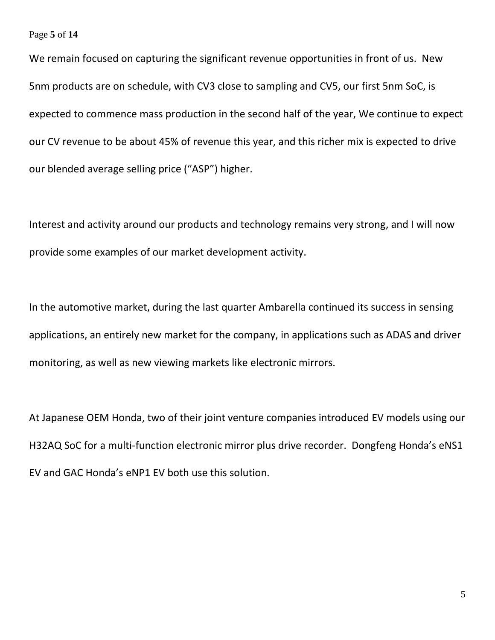#### Page **5** of **14**

We remain focused on capturing the significant revenue opportunities in front of us. New 5nm products are on schedule, with CV3 close to sampling and CV5, our first 5nm SoC, is expected to commence mass production in the second half of the year, We continue to expect our CV revenue to be about 45% of revenue this year, and this richer mix is expected to drive our blended average selling price ("ASP") higher.

Interest and activity around our products and technology remains very strong, and I will now provide some examples of our market development activity.

In the automotive market, during the last quarter Ambarella continued its success in sensing applications, an entirely new market for the company, in applications such as ADAS and driver monitoring, as well as new viewing markets like electronic mirrors.

At Japanese OEM Honda, two of their joint venture companies introduced EV models using our H32AQ SoC for a multi-function electronic mirror plus drive recorder. Dongfeng Honda's eNS1 EV and GAC Honda's eNP1 EV both use this solution.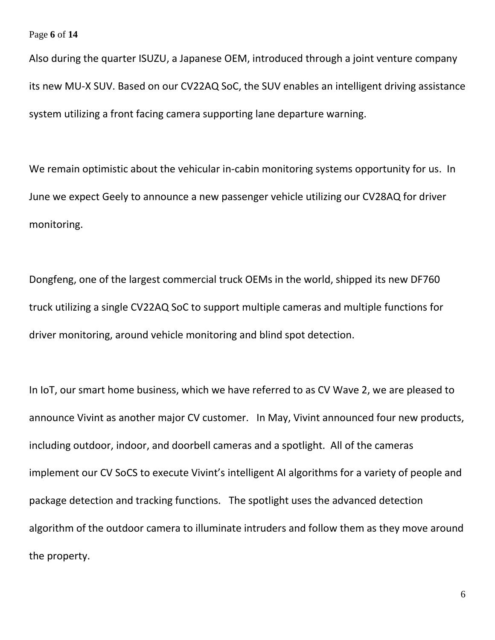Page **6** of **14**

Also during the quarter ISUZU, a Japanese OEM, introduced through a joint venture company its new MU-X SUV. Based on our CV22AQ SoC, the SUV enables an intelligent driving assistance system utilizing a front facing camera supporting lane departure warning.

We remain optimistic about the vehicular in-cabin monitoring systems opportunity for us. In June we expect Geely to announce a new passenger vehicle utilizing our CV28AQ for driver monitoring.

Dongfeng, one of the largest commercial truck OEMs in the world, shipped its new DF760 truck utilizing a single CV22AQ SoC to support multiple cameras and multiple functions for driver monitoring, around vehicle monitoring and blind spot detection.

In IoT, our smart home business, which we have referred to as CV Wave 2, we are pleased to announce Vivint as another major CV customer. In May, Vivint announced four new products, including outdoor, indoor, and doorbell cameras and a spotlight. All of the cameras implement our CV SoCS to execute Vivint's intelligent AI algorithms for a variety of people and package detection and tracking functions. The spotlight uses the advanced detection algorithm of the outdoor camera to illuminate intruders and follow them as they move around the property.

6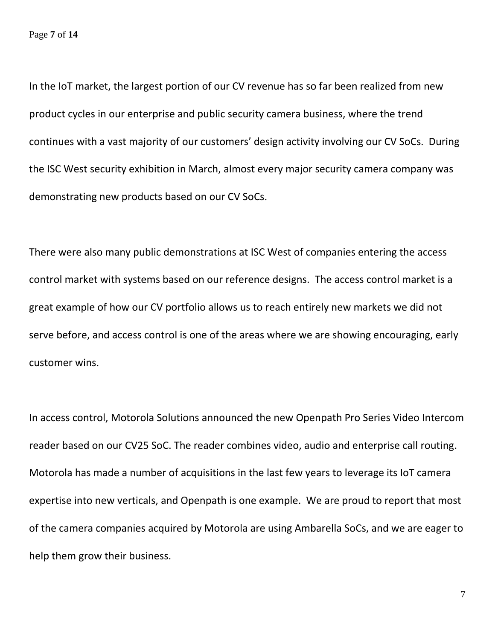In the IoT market, the largest portion of our CV revenue has so far been realized from new product cycles in our enterprise and public security camera business, where the trend continues with a vast majority of our customers' design activity involving our CV SoCs. During the ISC West security exhibition in March, almost every major security camera company was demonstrating new products based on our CV SoCs.

There were also many public demonstrations at ISC West of companies entering the access control market with systems based on our reference designs. The access control market is a great example of how our CV portfolio allows us to reach entirely new markets we did not serve before, and access control is one of the areas where we are showing encouraging, early customer wins.

In access control, Motorola Solutions announced the new Openpath Pro Series Video Intercom reader based on our CV25 SoC. The reader combines video, audio and enterprise call routing. Motorola has made a number of acquisitions in the last few years to leverage its IoT camera expertise into new verticals, and Openpath is one example. We are proud to report that most of the camera companies acquired by Motorola are using Ambarella SoCs, and we are eager to help them grow their business.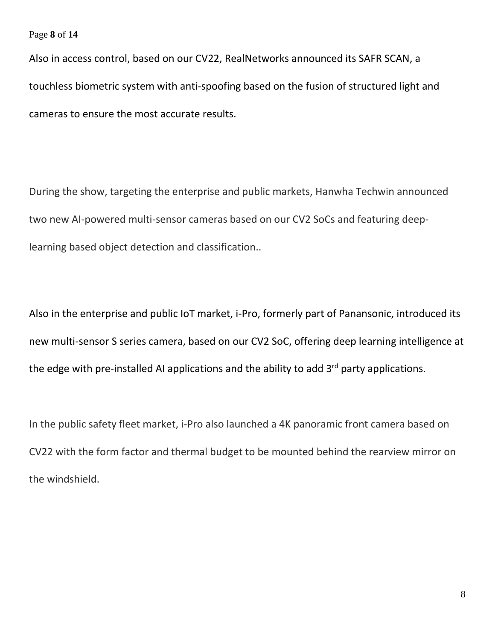Page **8** of **14**

Also in access control, based on our CV22, RealNetworks announced its SAFR SCAN, a touchless biometric system with anti-spoofing based on the fusion of structured light and cameras to ensure the most accurate results.

During the show, targeting the enterprise and public markets, Hanwha Techwin announced two new AI-powered multi-sensor cameras based on our CV2 SoCs and featuring deeplearning based object detection and classification..

Also in the enterprise and public IoT market, i-Pro, formerly part of Panansonic, introduced its new multi-sensor S series camera, based on our CV2 SoC, offering deep learning intelligence at the edge with pre-installed AI applications and the ability to add 3<sup>rd</sup> party applications.

In the public safety fleet market, i-Pro also launched a 4K panoramic front camera based on CV22 with the form factor and thermal budget to be mounted behind the rearview mirror on the windshield.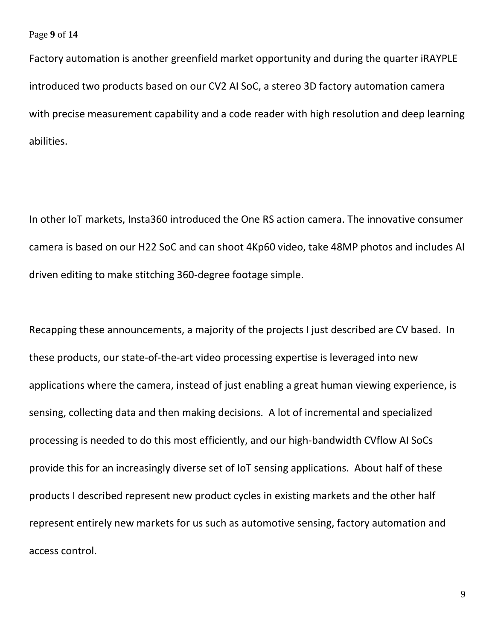Page **9** of **14**

Factory automation is another greenfield market opportunity and during the quarter iRAYPLE introduced two products based on our CV2 AI SoC, a stereo 3D factory automation camera with precise measurement capability and a code reader with high resolution and deep learning abilities.

In other IoT markets, Insta360 introduced the One RS action camera. The innovative consumer camera is based on our H22 SoC and can shoot 4Kp60 video, take 48MP photos and includes AI driven editing to make stitching 360-degree footage simple.

Recapping these announcements, a majority of the projects I just described are CV based. In these products, our state-of-the-art video processing expertise is leveraged into new applications where the camera, instead of just enabling a great human viewing experience, is sensing, collecting data and then making decisions. A lot of incremental and specialized processing is needed to do this most efficiently, and our high-bandwidth CVflow AI SoCs provide this for an increasingly diverse set of IoT sensing applications. About half of these products I described represent new product cycles in existing markets and the other half represent entirely new markets for us such as automotive sensing, factory automation and access control.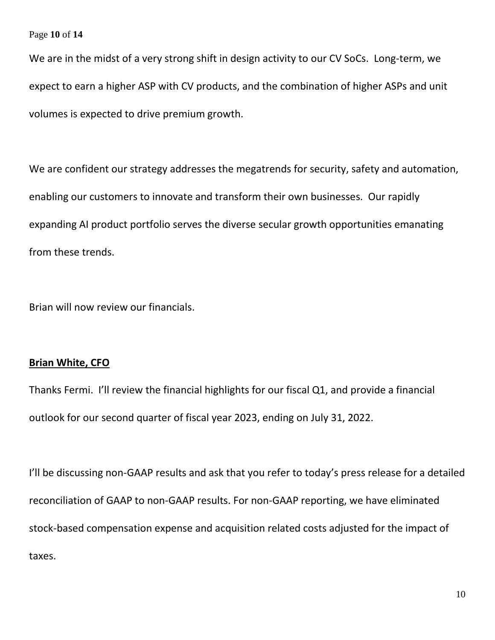### Page **10** of **14**

We are in the midst of a very strong shift in design activity to our CV SoCs. Long-term, we expect to earn a higher ASP with CV products, and the combination of higher ASPs and unit volumes is expected to drive premium growth.

We are confident our strategy addresses the megatrends for security, safety and automation, enabling our customers to innovate and transform their own businesses. Our rapidly expanding AI product portfolio serves the diverse secular growth opportunities emanating from these trends.

Brian will now review our financials.

### **Brian White, CFO**

Thanks Fermi. I'll review the financial highlights for our fiscal Q1, and provide a financial outlook for our second quarter of fiscal year 2023, ending on July 31, 2022.

I'll be discussing non-GAAP results and ask that you refer to today's press release for a detailed reconciliation of GAAP to non-GAAP results. For non-GAAP reporting, we have eliminated stock-based compensation expense and acquisition related costs adjusted for the impact of taxes.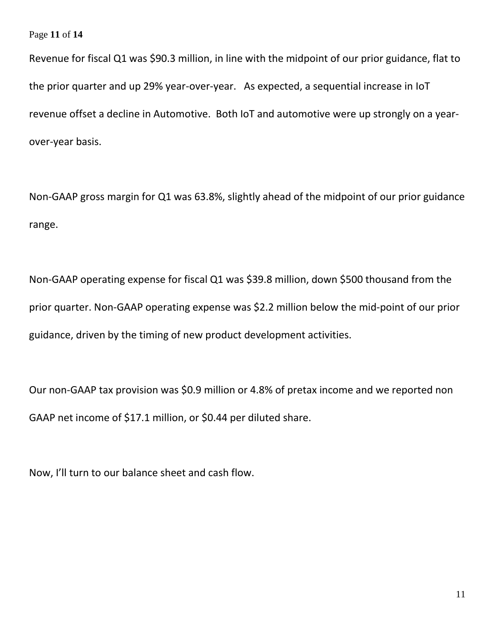Page **11** of **14**

Revenue for fiscal Q1 was \$90.3 million, in line with the midpoint of our prior guidance, flat to the prior quarter and up 29% year-over-year. As expected, a sequential increase in IoT revenue offset a decline in Automotive. Both IoT and automotive were up strongly on a yearover-year basis.

Non-GAAP gross margin for Q1 was 63.8%, slightly ahead of the midpoint of our prior guidance range.

Non-GAAP operating expense for fiscal Q1 was \$39.8 million, down \$500 thousand from the prior quarter. Non-GAAP operating expense was \$2.2 million below the mid-point of our prior guidance, driven by the timing of new product development activities.

Our non-GAAP tax provision was \$0.9 million or 4.8% of pretax income and we reported non GAAP net income of \$17.1 million, or \$0.44 per diluted share.

Now, I'll turn to our balance sheet and cash flow.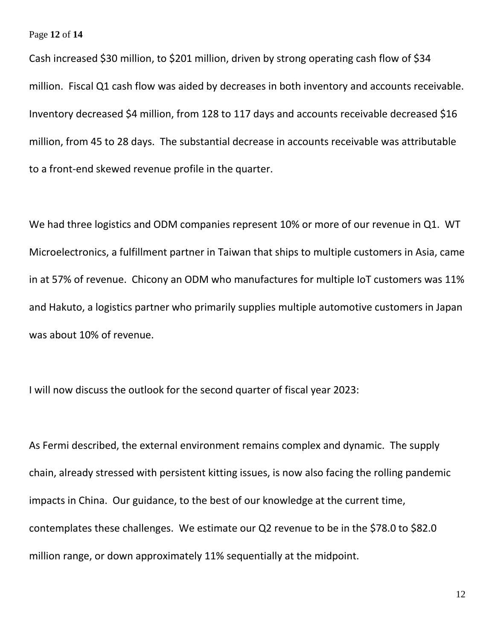#### Page **12** of **14**

Cash increased \$30 million, to \$201 million, driven by strong operating cash flow of \$34 million. Fiscal Q1 cash flow was aided by decreases in both inventory and accounts receivable. Inventory decreased \$4 million, from 128 to 117 days and accounts receivable decreased \$16 million, from 45 to 28 days. The substantial decrease in accounts receivable was attributable to a front-end skewed revenue profile in the quarter.

We had three logistics and ODM companies represent 10% or more of our revenue in Q1. WT Microelectronics, a fulfillment partner in Taiwan that ships to multiple customers in Asia, came in at 57% of revenue. Chicony an ODM who manufactures for multiple IoT customers was 11% and Hakuto, a logistics partner who primarily supplies multiple automotive customers in Japan was about 10% of revenue.

I will now discuss the outlook for the second quarter of fiscal year 2023:

As Fermi described, the external environment remains complex and dynamic. The supply chain, already stressed with persistent kitting issues, is now also facing the rolling pandemic impacts in China. Our guidance, to the best of our knowledge at the current time, contemplates these challenges. We estimate our Q2 revenue to be in the \$78.0 to \$82.0 million range, or down approximately 11% sequentially at the midpoint.

12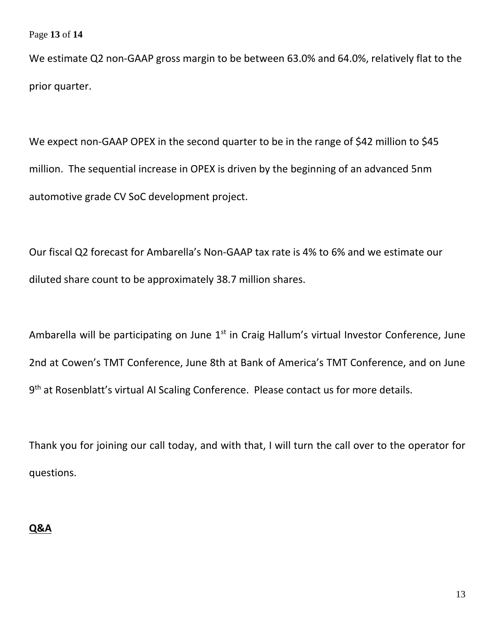Page **13** of **14**

We estimate Q2 non-GAAP gross margin to be between 63.0% and 64.0%, relatively flat to the prior quarter.

We expect non-GAAP OPEX in the second quarter to be in the range of \$42 million to \$45 million. The sequential increase in OPEX is driven by the beginning of an advanced 5nm automotive grade CV SoC development project.

Our fiscal Q2 forecast for Ambarella's Non-GAAP tax rate is 4% to 6% and we estimate our diluted share count to be approximately 38.7 million shares.

Ambarella will be participating on June  $1<sup>st</sup>$  in Craig Hallum's virtual Investor Conference, June 2nd at Cowen's TMT Conference, June 8th at Bank of America's TMT Conference, and on June 9<sup>th</sup> at Rosenblatt's virtual AI Scaling Conference. Please contact us for more details.

Thank you for joining our call today, and with that, I will turn the call over to the operator for questions.

## **Q&A**